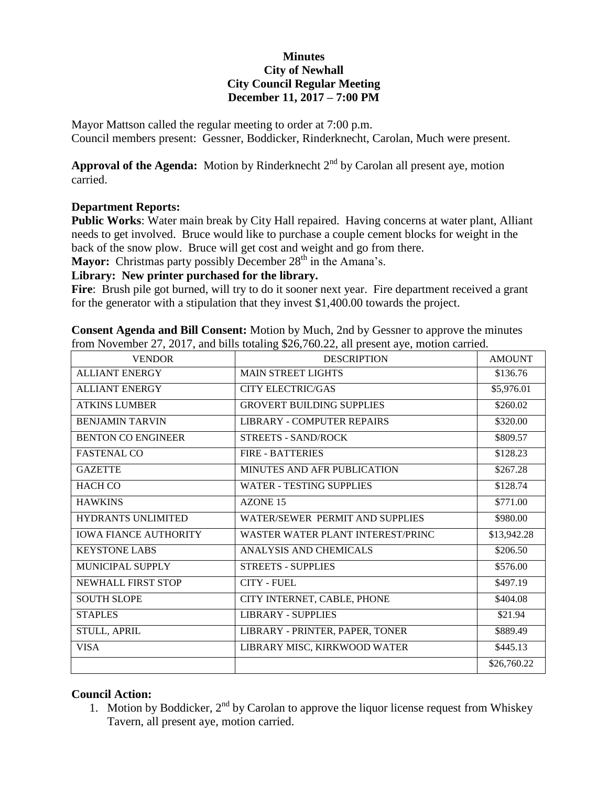## **Minutes City of Newhall City Council Regular Meeting December 11, 2017 – 7:00 PM**

Mayor Mattson called the regular meeting to order at 7:00 p.m. Council members present: Gessner, Boddicker, Rinderknecht, Carolan, Much were present.

**Approval of the Agenda:** Motion by Rinderknecht  $2<sup>nd</sup>$  by Carolan all present aye, motion carried.

## **Department Reports:**

**Public Works**: Water main break by City Hall repaired. Having concerns at water plant, Alliant needs to get involved. Bruce would like to purchase a couple cement blocks for weight in the back of the snow plow. Bruce will get cost and weight and go from there.

**Mayor:** Christmas party possibly December 28<sup>th</sup> in the Amana's.

## **Library: New printer purchased for the library.**

Fire: Brush pile got burned, will try to do it sooner next year. Fire department received a grant for the generator with a stipulation that they invest \$1,400.00 towards the project.

**Consent Agenda and Bill Consent:** Motion by Much, 2nd by Gessner to approve the minutes from November 27, 2017, and bills totaling \$26,760.22, all present aye, motion carried.

| <b>VENDOR</b>                | <b>DESCRIPTION</b>                | <b>AMOUNT</b> |
|------------------------------|-----------------------------------|---------------|
| <b>ALLIANT ENERGY</b>        | <b>MAIN STREET LIGHTS</b>         | \$136.76      |
| <b>ALLIANT ENERGY</b>        | <b>CITY ELECTRIC/GAS</b>          | \$5,976.01    |
| <b>ATKINS LUMBER</b>         | <b>GROVERT BUILDING SUPPLIES</b>  | \$260.02      |
| <b>BENJAMIN TARVIN</b>       | <b>LIBRARY - COMPUTER REPAIRS</b> | \$320.00      |
| <b>BENTON CO ENGINEER</b>    | <b>STREETS - SAND/ROCK</b>        | \$809.57      |
| <b>FASTENAL CO</b>           | <b>FIRE - BATTERIES</b>           | \$128.23      |
| <b>GAZETTE</b>               | MINUTES AND AFR PUBLICATION       | \$267.28      |
| <b>HACH CO</b>               | <b>WATER - TESTING SUPPLIES</b>   | \$128.74      |
| <b>HAWKINS</b>               | AZONE 15                          | \$771.00      |
| HYDRANTS UNLIMITED           | WATER/SEWER PERMIT AND SUPPLIES   | \$980.00      |
| <b>IOWA FIANCE AUTHORITY</b> | WASTER WATER PLANT INTEREST/PRINC | \$13,942.28   |
| <b>KEYSTONE LABS</b>         | ANALYSIS AND CHEMICALS            | \$206.50      |
| <b>MUNICIPAL SUPPLY</b>      | <b>STREETS - SUPPLIES</b>         | \$576.00      |
| NEWHALL FIRST STOP           | <b>CITY - FUEL</b>                | \$497.19      |
| <b>SOUTH SLOPE</b>           | CITY INTERNET, CABLE, PHONE       | \$404.08      |
| <b>STAPLES</b>               | <b>LIBRARY - SUPPLIES</b>         | \$21.94       |
| STULL, APRIL                 | LIBRARY - PRINTER, PAPER, TONER   | \$889.49      |
| <b>VISA</b>                  | LIBRARY MISC, KIRKWOOD WATER      | \$445.13      |
|                              |                                   | \$26,760.22   |

## **Council Action:**

1. Motion by Boddicker,  $2<sup>nd</sup>$  by Carolan to approve the liquor license request from Whiskey Tavern, all present aye, motion carried.